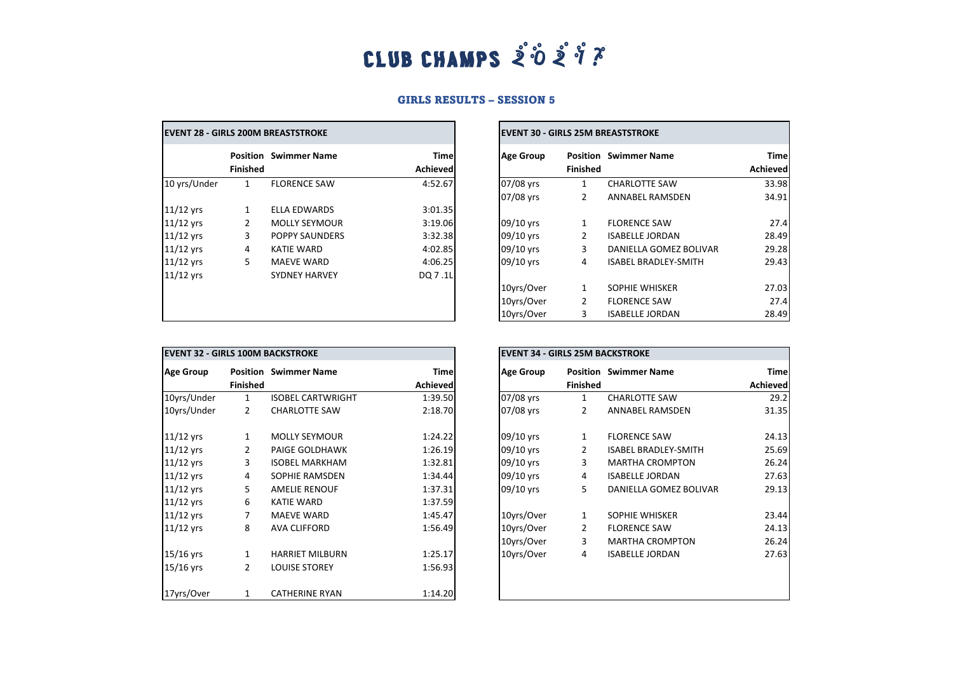## CLUB CHAMPS  $\mathring{\mathcal{Z}}$   $\mathring{\mathcal{O}}$   $\mathring{\mathcal{Z}}$   $\mathring{\mathscr{J}}$   $\mathring{\mathcal{X}}$

## GIRLS RESULTS – SESSION 5

 $\overline{\phantom{0}}$ 

| <b>EVENT 28 - GIRLS 200M BREASTSTROKE</b> |                 |                              |                          | <b>EVENT 30 - GIRLS 25M BREASTSTROKE</b> |                 |                              |                         |
|-------------------------------------------|-----------------|------------------------------|--------------------------|------------------------------------------|-----------------|------------------------------|-------------------------|
|                                           | <b>Finished</b> | <b>Position Swimmer Name</b> | <b>Timel</b><br>Achieved | <b>Age Group</b>                         | <b>Finished</b> | <b>Position Swimmer Name</b> | <b>Time</b><br>Achieved |
| 10 yrs/Under                              | 1               | <b>FLORENCE SAW</b>          | 4:52.67                  | 07/08 yrs                                | 1               | <b>CHARLOTTE SAW</b>         | 33.98                   |
|                                           |                 |                              |                          | 07/08 yrs                                | 2               | <b>ANNABEL RAMSDEN</b>       | 34.91                   |
| $11/12$ yrs                               | 1               | <b>ELLA EDWARDS</b>          | 3:01.35                  |                                          |                 |                              |                         |
| $11/12$ yrs                               | 2               | <b>MOLLY SEYMOUR</b>         | 3:19.06                  | 09/10 yrs                                | $\mathbf{1}$    | <b>FLORENCE SAW</b>          | 27.4                    |
| $11/12$ yrs                               | 3               | POPPY SAUNDERS               | 3:32.38                  | 09/10 yrs                                | 2               | <b>ISABELLE JORDAN</b>       | 28.49                   |
| $11/12$ yrs                               | 4               | KATIE WARD                   | 4:02.85                  | 09/10 yrs                                | 3               | DANIELLA GOMEZ BOLIVAR       | 29.28                   |
| $11/12$ yrs                               | 5               | <b>MAEVE WARD</b>            | 4:06.25                  | 09/10 yrs                                | 4               | <b>ISABEL BRADLEY-SMITH</b>  | 29.43                   |
| $11/12$ yrs                               |                 | <b>SYDNEY HARVEY</b>         | DQ 7.1L                  |                                          |                 |                              |                         |
|                                           |                 |                              |                          | 10yrs/Over                               | 1               | SOPHIE WHISKER               | 27.03                   |
|                                           |                 |                              |                          | 10yrs/Over                               | 2               | <b>FLORENCE SAW</b>          | 27.4                    |
|                                           |                 |                              |                          | 10yrs/Over                               | 3               | <b>ISABELLE JORDAN</b>       | 28.49                   |

| <b>EVENT 30 - GIRLS 25M BREASTSTROKE</b> |                 |                              |                         |  |  |  |
|------------------------------------------|-----------------|------------------------------|-------------------------|--|--|--|
| <b>Age Group</b>                         | <b>Finished</b> | <b>Position</b> Swimmer Name | Time<br><b>Achieved</b> |  |  |  |
| 07/08 yrs                                | $\mathbf{1}$    | <b>CHARLOTTE SAW</b>         | 33.98                   |  |  |  |
| 07/08 yrs                                | $\mathcal{P}$   | ANNABEL RAMSDEN              | 34.91                   |  |  |  |
| 09/10 yrs                                | 1               | <b>FLORENCE SAW</b>          | 27.4                    |  |  |  |
| 09/10 yrs                                | $\mathcal{P}$   | <b>ISABELLE JORDAN</b>       | 28.49                   |  |  |  |
| 09/10 yrs                                | 3               | DANIELLA GOMEZ BOLIVAR       | 29.28                   |  |  |  |
| 09/10 yrs                                | 4               | <b>ISABEL BRADLEY-SMITH</b>  | 29.43                   |  |  |  |
| 10yrs/Over                               | 1               | SOPHIE WHISKER               | 27.03                   |  |  |  |
| 10yrs/Over                               | $\mathcal{P}$   | <b>FLORENCE SAW</b>          | 27.4                    |  |  |  |
| 10yrs/Over                               | 3               | <b>ISABELLE JORDAN</b>       | 28.49                   |  |  |  |

| <b>IEVENT 32 - GIRLS 100M BACKSTROKE</b> |                 |                              |                                | <b>EVENT 34 - GIRLS 25M BACKSTROKE</b> |                 |                              |                  |
|------------------------------------------|-----------------|------------------------------|--------------------------------|----------------------------------------|-----------------|------------------------------|------------------|
| <b>Age Group</b>                         | <b>Finished</b> | <b>Position Swimmer Name</b> | <b>Time</b><br><b>Achieved</b> | <b>Age Group</b>                       | <b>Finished</b> | <b>Position Swimmer Name</b> | Time<br>Achieved |
| 10yrs/Under                              | 1               | <b>ISOBEL CARTWRIGHT</b>     | 1:39.50                        | 07/08 yrs                              | 1               | <b>CHARLOTTE SAW</b>         | 29.2             |
| 10yrs/Under                              | 2               | <b>CHARLOTTE SAW</b>         | 2:18.70                        | 07/08 yrs                              | 2               | ANNABEL RAMSDEN              | 31.35            |
| $11/12$ yrs                              | $\mathbf{1}$    | <b>MOLLY SEYMOUR</b>         | 1:24.22                        | 09/10 yrs                              | 1               | <b>FLORENCE SAW</b>          | 24.13            |
| $11/12$ yrs                              | 2               | <b>PAIGE GOLDHAWK</b>        | 1:26.19                        | 09/10 yrs                              | 2               | <b>ISABEL BRADLEY-SMITH</b>  | 25.69            |
| $11/12$ yrs                              | 3               | <b>ISOBEL MARKHAM</b>        | 1:32.81                        | 09/10 yrs                              | 3               | <b>MARTHA CROMPTON</b>       | 26.24            |
| $11/12$ yrs                              | 4               | SOPHIE RAMSDEN               | 1:34.44                        | 09/10 yrs                              | 4               | <b>ISABELLE JORDAN</b>       | 27.63            |
| $11/12$ yrs                              | 5               | <b>AMELIE RENOUF</b>         | 1:37.31                        | 09/10 yrs                              | 5               | DANIELLA GOMEZ BOLIVAR       | 29.13            |
| $11/12$ yrs                              | 6               | <b>KATIE WARD</b>            | 1:37.59                        |                                        |                 |                              |                  |
| $11/12$ yrs                              |                 | <b>MAEVE WARD</b>            | 1:45.47                        | 10yrs/Over                             | 1               | SOPHIE WHISKER               | 23.44            |
| $11/12$ yrs                              | 8               | <b>AVA CLIFFORD</b>          | 1:56.49                        | 10yrs/Over                             | 2               | <b>FLORENCE SAW</b>          | 24.13            |
|                                          |                 |                              |                                | 10yrs/Over                             | 3               | <b>MARTHA CROMPTON</b>       | 26.24            |
| $15/16$ yrs                              | $\mathbf{1}$    | <b>HARRIET MILBURN</b>       | 1:25.17                        | 10yrs/Over                             | 4               | <b>ISABELLE JORDAN</b>       | 27.63            |
| $15/16$ yrs                              | $\overline{2}$  | <b>LOUISE STOREY</b>         | 1:56.93                        |                                        |                 |                              |                  |
| 17yrs/Over                               | 1               | <b>CATHERINE RYAN</b>        | 1:14.20                        |                                        |                 |                              |                  |

| <b>EVENT 34 - GIRLS 25M BACKSTROKE</b> |                 |                              |                         |  |  |
|----------------------------------------|-----------------|------------------------------|-------------------------|--|--|
| <b>Age Group</b>                       | <b>Finished</b> | <b>Position Swimmer Name</b> | <b>Time</b><br>Achieved |  |  |
| 07/08 yrs                              | $\mathbf{1}$    | <b>CHARLOTTE SAW</b>         | 29.2                    |  |  |
| 07/08 yrs                              | 2               | ANNABEL RAMSDEN              | 31.35                   |  |  |
| 09/10 yrs                              | 1               | <b>FLORENCE SAW</b>          | 24.13                   |  |  |
| 09/10 yrs                              | $\overline{2}$  | <b>ISABEL BRADLEY-SMITH</b>  | 25.69                   |  |  |
| 09/10 yrs                              | 3               | <b>MARTHA CROMPTON</b>       | 26.24                   |  |  |
| 09/10 yrs                              | 4               | <b>ISABELLE JORDAN</b>       | 27.63                   |  |  |
| 09/10 yrs                              | 5               | DANIELLA GOMEZ BOLIVAR       | 29.13                   |  |  |
| 10yrs/Over                             | $\mathbf{1}$    | SOPHIE WHISKER               | 23.44                   |  |  |
| 10yrs/Over                             | 2               | <b>FLORENCE SAW</b>          | 24.13                   |  |  |
| 10yrs/Over                             | 3               | <b>MARTHA CROMPTON</b>       | 26.24                   |  |  |
| 10yrs/Over                             | 4               | <b>ISABELLE JORDAN</b>       | 27.63                   |  |  |
|                                        |                 |                              |                         |  |  |
|                                        |                 |                              |                         |  |  |